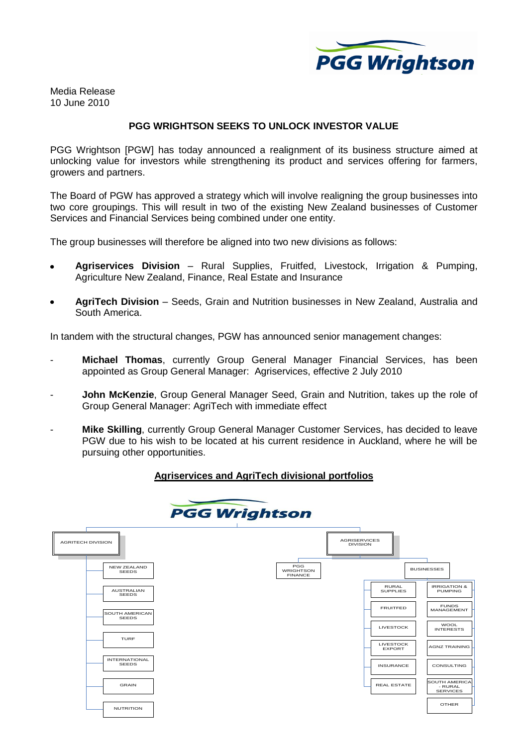

Media Release 10 June 2010

## **PGG WRIGHTSON SEEKS TO UNLOCK INVESTOR VALUE**

PGG Wrightson [PGW] has today announced a realignment of its business structure aimed at unlocking value for investors while strengthening its product and services offering for farmers, growers and partners.

The Board of PGW has approved a strategy which will involve realigning the group businesses into two core groupings. This will result in two of the existing New Zealand businesses of Customer Services and Financial Services being combined under one entity.

The group businesses will therefore be aligned into two new divisions as follows:

- **Agriservices Division** Rural Supplies, Fruitfed, Livestock, Irrigation & Pumping,  $\bullet$ Agriculture New Zealand, Finance, Real Estate and Insurance
- **AgriTech Division** Seeds, Grain and Nutrition businesses in New Zealand, Australia and South America.

In tandem with the structural changes, PGW has announced senior management changes:

- **Michael Thomas**, currently Group General Manager Financial Services, has been appointed as Group General Manager: Agriservices, effective 2 July 2010
- John McKenzie, Group General Manager Seed, Grain and Nutrition, takes up the role of Group General Manager: AgriTech with immediate effect
- **Mike Skilling**, currently Group General Manager Customer Services, has decided to leave PGW due to his wish to be located at his current residence in Auckland, where he will be pursuing other opportunities.

## **Agriservices and AgriTech divisional portfolios**



| <b>AGRITECH DIVISION</b>             |                                           | <b>AGRISERVICES</b><br><b>DIVISION</b> |                                   |                                                    |
|--------------------------------------|-------------------------------------------|----------------------------------------|-----------------------------------|----------------------------------------------------|
| <b>NEW ZEALAND</b><br><b>SEEDS</b>   | PGG<br><b>WRIGHTSON</b><br><b>FINANCE</b> |                                        |                                   | <b>BUSINESSES</b>                                  |
| <b>AUSTRALIAN</b><br><b>SEEDS</b>    |                                           |                                        | <b>RURAL</b><br><b>SUPPLIES</b>   | <b>IRRIGATION &amp;</b><br><b>PUMPING</b>          |
| SOUTH AMERICAN<br><b>SEEDS</b>       |                                           |                                        | <b>FRUITFED</b>                   | <b>FUNDS</b><br>MANAGEMENT                         |
|                                      |                                           |                                        | LIVESTOCK                         | <b>WOOL</b><br><b>INTERESTS</b>                    |
| <b>TURF</b>                          |                                           |                                        | <b>LIVESTOCK</b><br><b>EXPORT</b> | <b>AGNZ TRAINING</b>                               |
| <b>INTERNATIONAL</b><br><b>SEEDS</b> |                                           |                                        | <b>INSURANCE</b>                  | CONSULTING                                         |
| <b>GRAIN</b>                         |                                           |                                        | <b>REAL ESTATE</b>                | <b>SOUTH AMERICA</b><br>- RURAL<br><b>SERVICES</b> |
| <b>NUTRITION</b>                     |                                           |                                        |                                   | <b>OTHER</b>                                       |
|                                      |                                           |                                        |                                   |                                                    |